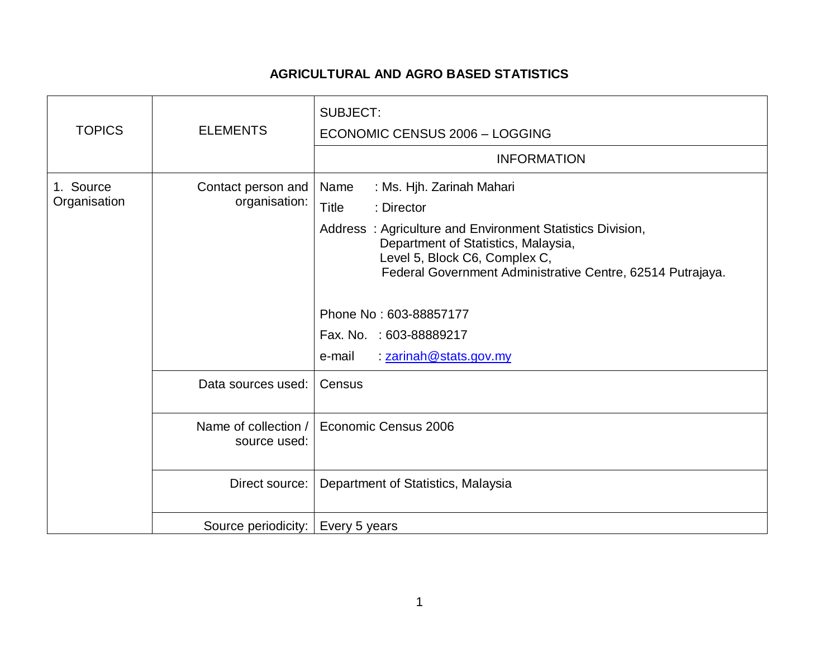## **AGRICULTURAL AND AGRO BASED STATISTICS**

| <b>TOPICS</b>             | <b>ELEMENTS</b>                      | <b>SUBJECT:</b><br>ECONOMIC CENSUS 2006 - LOGGING<br><b>INFORMATION</b>                                                                                                                                                                                                                                                                                     |
|---------------------------|--------------------------------------|-------------------------------------------------------------------------------------------------------------------------------------------------------------------------------------------------------------------------------------------------------------------------------------------------------------------------------------------------------------|
| 1. Source<br>Organisation | Contact person and<br>organisation:  | : Ms. Hjh. Zarinah Mahari<br>Name<br><b>Title</b><br>: Director<br>Address: Agriculture and Environment Statistics Division,<br>Department of Statistics, Malaysia,<br>Level 5, Block C6, Complex C,<br>Federal Government Administrative Centre, 62514 Putrajaya.<br>Phone No: 603-88857177<br>Fax. No. : 603-88889217<br>: zarinah@stats.gov.my<br>e-mail |
|                           | Data sources used:                   | Census                                                                                                                                                                                                                                                                                                                                                      |
|                           | Name of collection /<br>source used: | Economic Census 2006                                                                                                                                                                                                                                                                                                                                        |
|                           | Direct source:                       | Department of Statistics, Malaysia                                                                                                                                                                                                                                                                                                                          |
|                           | Source periodicity:                  | Every 5 years                                                                                                                                                                                                                                                                                                                                               |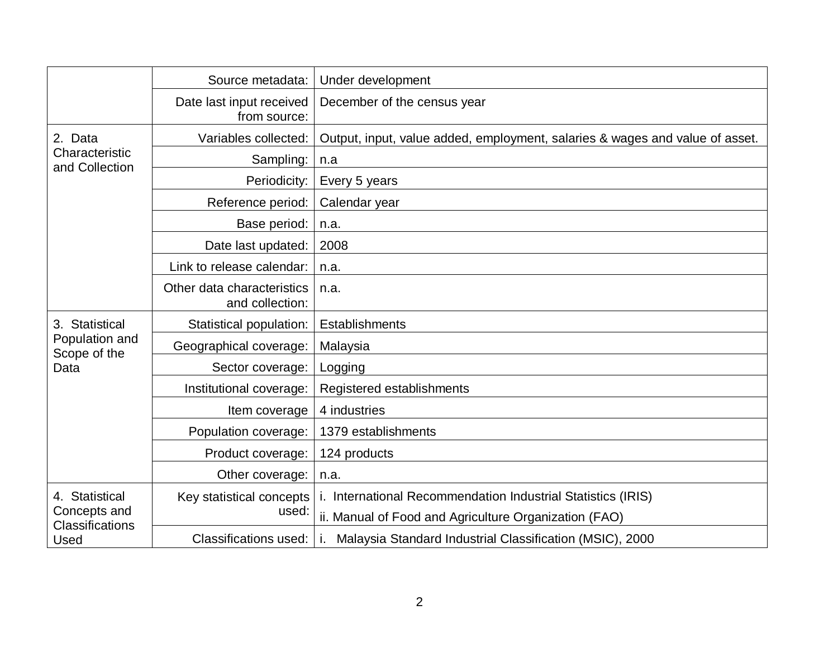|                                                                  | Source metadata:                              | Under development                                                            |
|------------------------------------------------------------------|-----------------------------------------------|------------------------------------------------------------------------------|
|                                                                  | Date last input received<br>from source:      | December of the census year                                                  |
| 2. Data<br>Characteristic<br>and Collection                      | Variables collected:                          | Output, input, value added, employment, salaries & wages and value of asset. |
|                                                                  | Sampling:                                     | n.a                                                                          |
|                                                                  | Periodicity:                                  | Every 5 years                                                                |
|                                                                  | Reference period:                             | Calendar year                                                                |
|                                                                  | Base period:                                  | n.a.                                                                         |
|                                                                  | Date last updated:                            | 2008                                                                         |
|                                                                  | Link to release calendar:                     | n.a.                                                                         |
|                                                                  | Other data characteristics<br>and collection: | n.a.                                                                         |
| 3. Statistical<br>Population and<br>Scope of the<br>Data         | Statistical population:                       | Establishments                                                               |
|                                                                  | Geographical coverage:                        | Malaysia                                                                     |
|                                                                  | Sector coverage:                              | Logging                                                                      |
|                                                                  | Institutional coverage:                       | Registered establishments                                                    |
|                                                                  | Item coverage                                 | 4 industries                                                                 |
|                                                                  | Population coverage:                          | 1379 establishments                                                          |
|                                                                  | Product coverage:                             | 124 products                                                                 |
|                                                                  | Other coverage:                               | n.a.                                                                         |
| 4. Statistical<br>Concepts and<br><b>Classifications</b><br>Used | Key statistical concepts                      | i. International Recommendation Industrial Statistics (IRIS)                 |
|                                                                  | used:                                         | ii. Manual of Food and Agriculture Organization (FAO)                        |
|                                                                  | Classifications used:                         | Malaysia Standard Industrial Classification (MSIC), 2000                     |